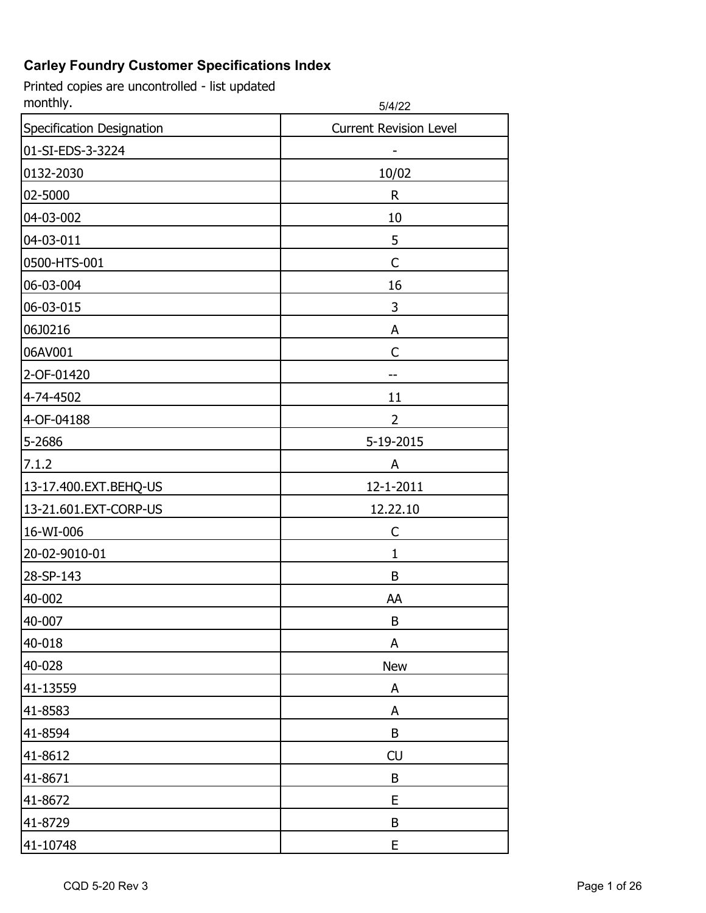| monthly.                  | 5/4/22                        |
|---------------------------|-------------------------------|
| Specification Designation | <b>Current Revision Level</b> |
| 01-SI-EDS-3-3224          | -                             |
| 0132-2030                 | 10/02                         |
| 02-5000                   | $\mathsf R$                   |
| 04-03-002                 | 10                            |
| 04-03-011                 | 5                             |
| 0500-HTS-001              | C                             |
| 06-03-004                 | 16                            |
| 06-03-015                 | 3                             |
| 06J0216                   | A                             |
| 06AV001                   | C                             |
| 2-OF-01420                |                               |
| 4-74-4502                 | 11                            |
| 4-OF-04188                | $\overline{2}$                |
| 5-2686                    | 5-19-2015                     |
| 7.1.2                     | A                             |
| 13-17.400.EXT.BEHQ-US     | 12-1-2011                     |
| 13-21.601.EXT-CORP-US     | 12.22.10                      |
| 16-WI-006                 | C                             |
| 20-02-9010-01             | 1                             |
| 28-SP-143                 | B                             |
| 40-002                    | AA                            |
| 40-007                    | B                             |
| 40-018                    | A                             |
| 40-028                    | <b>New</b>                    |
| 41-13559                  | A                             |
| 41-8583                   | A                             |
| 41-8594                   | B                             |
| 41-8612                   | CU                            |
| 41-8671                   | B                             |
| 41-8672                   | E                             |
| 41-8729                   | B                             |
| 41-10748                  | E                             |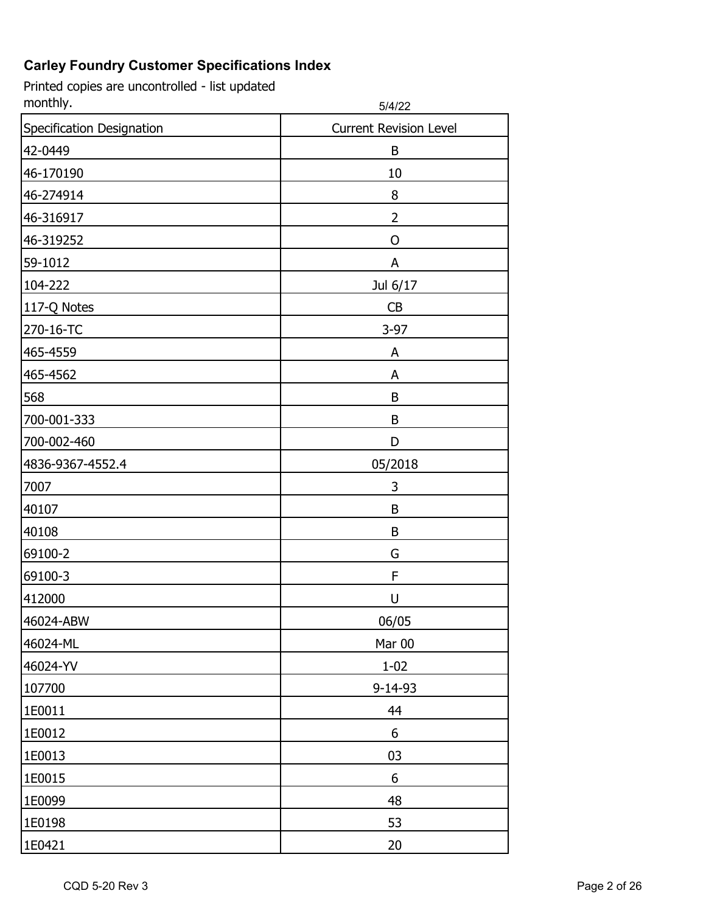| monthly.                  | 5/4/22                        |
|---------------------------|-------------------------------|
| Specification Designation | <b>Current Revision Level</b> |
| 42-0449                   | B                             |
| 46-170190                 | 10                            |
| 46-274914                 | 8                             |
| 46-316917                 | 2                             |
| 46-319252                 | O                             |
| 59-1012                   | A                             |
| 104-222                   | Jul 6/17                      |
| 117-Q Notes               | CB                            |
| 270-16-TC                 | $3-97$                        |
| 465-4559                  | A                             |
| 465-4562                  | A                             |
| 568                       | B                             |
| 700-001-333               | B                             |
| 700-002-460               | D                             |
| 4836-9367-4552.4          | 05/2018                       |
| 7007                      | 3                             |
| 40107                     | B                             |
| 40108                     | B                             |
| 69100-2                   | G                             |
| 69100-3                   | F                             |
| 412000                    | U                             |
| 46024-ABW                 | 06/05                         |
| 46024-ML                  | Mar 00                        |
| 46024-YV                  | $1 - 02$                      |
| 107700                    | $9 - 14 - 93$                 |
| 1E0011                    | 44                            |
| 1E0012                    | 6                             |
| 1E0013                    | 03                            |
| 1E0015                    | 6                             |
| 1E0099                    | 48                            |
| 1E0198                    | 53                            |
| 1E0421                    | 20                            |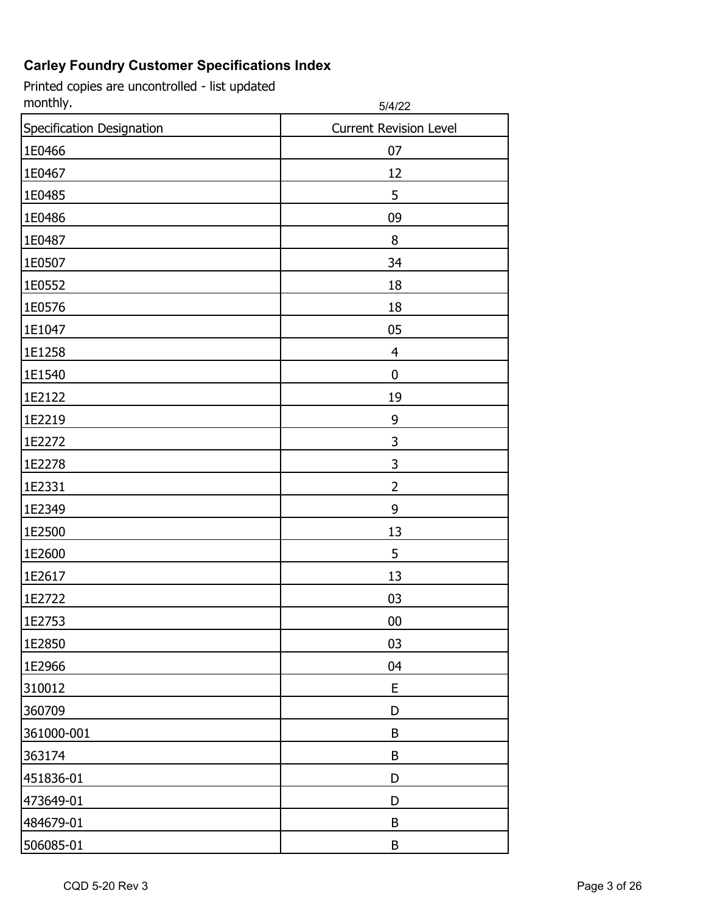| monthly.                  | 5/4/22                        |
|---------------------------|-------------------------------|
| Specification Designation | <b>Current Revision Level</b> |
| 1E0466                    | 07                            |
| 1E0467                    | 12                            |
| 1E0485                    | 5                             |
| 1E0486                    | 09                            |
| 1E0487                    | 8                             |
| 1E0507                    | 34                            |
| 1E0552                    | 18                            |
| 1E0576                    | 18                            |
| 1E1047                    | 05                            |
| 1E1258                    | 4                             |
| 1E1540                    | 0                             |
| 1E2122                    | 19                            |
| 1E2219                    | 9                             |
| 1E2272                    | 3                             |
| 1E2278                    | 3                             |
| 1E2331                    | $\overline{2}$                |
| 1E2349                    | 9                             |
| 1E2500                    | 13                            |
| 1E2600                    | 5                             |
| 1E2617                    | 13                            |
| 1E2722                    | 03                            |
| 1E2753                    | 00                            |
| 1E2850                    | 03                            |
| 1E2966                    | 04                            |
| 310012                    | E                             |
| 360709                    | D                             |
| 361000-001                | B                             |
| 363174                    | B                             |
| 451836-01                 | D                             |
| 473649-01                 | D                             |
| 484679-01                 | B                             |
| 506085-01                 | B                             |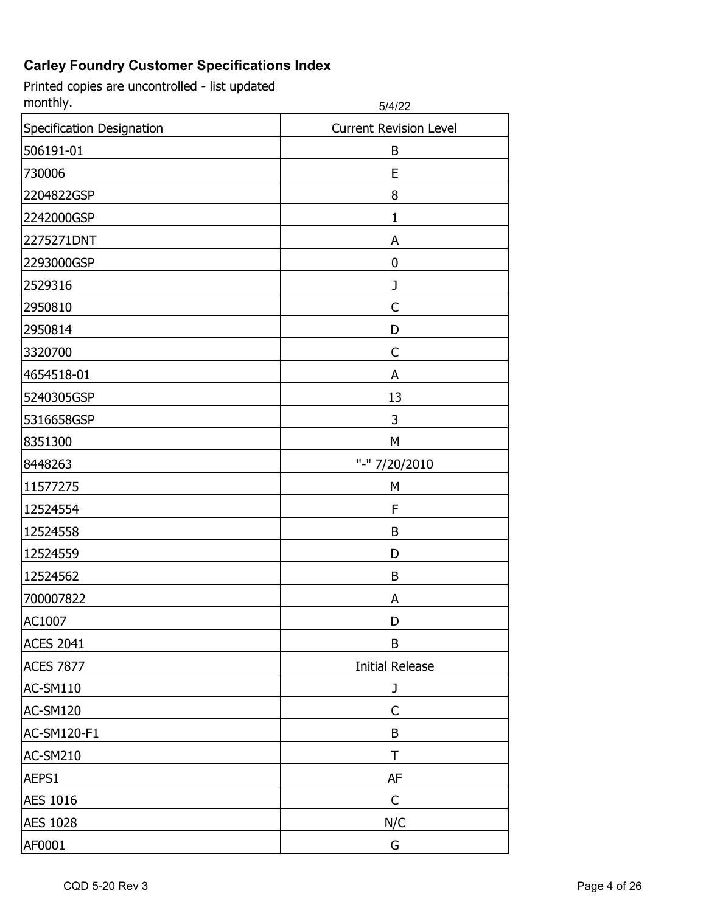| monthly.                  | 5/4/22                        |
|---------------------------|-------------------------------|
| Specification Designation | <b>Current Revision Level</b> |
| 506191-01                 | B                             |
| 730006                    | E                             |
| 2204822GSP                | 8                             |
| 2242000GSP                | 1                             |
| 2275271DNT                | A                             |
| 2293000GSP                | 0                             |
| 2529316                   | J                             |
| 2950810                   | C                             |
| 2950814                   | D                             |
| 3320700                   | C                             |
| 4654518-01                | A                             |
| 5240305GSP                | 13                            |
| 5316658GSP                | 3                             |
| 8351300                   | M                             |
| 8448263                   | "-" 7/20/2010                 |
| 11577275                  | M                             |
| 12524554                  | F                             |
| 12524558                  | B                             |
| 12524559                  | D                             |
| 12524562                  | B                             |
| 700007822                 | Α                             |
| AC1007                    | D                             |
| <b>ACES 2041</b>          | B                             |
| <b>ACES 7877</b>          | <b>Initial Release</b>        |
| AC-SM110                  | J                             |
| AC-SM120                  | C                             |
| AC-SM120-F1               | B                             |
| <b>AC-SM210</b>           | T                             |
| AEPS1                     | AF                            |
| <b>AES 1016</b>           | $\mathsf{C}$                  |
| <b>AES 1028</b>           | N/C                           |
| AF0001                    | G                             |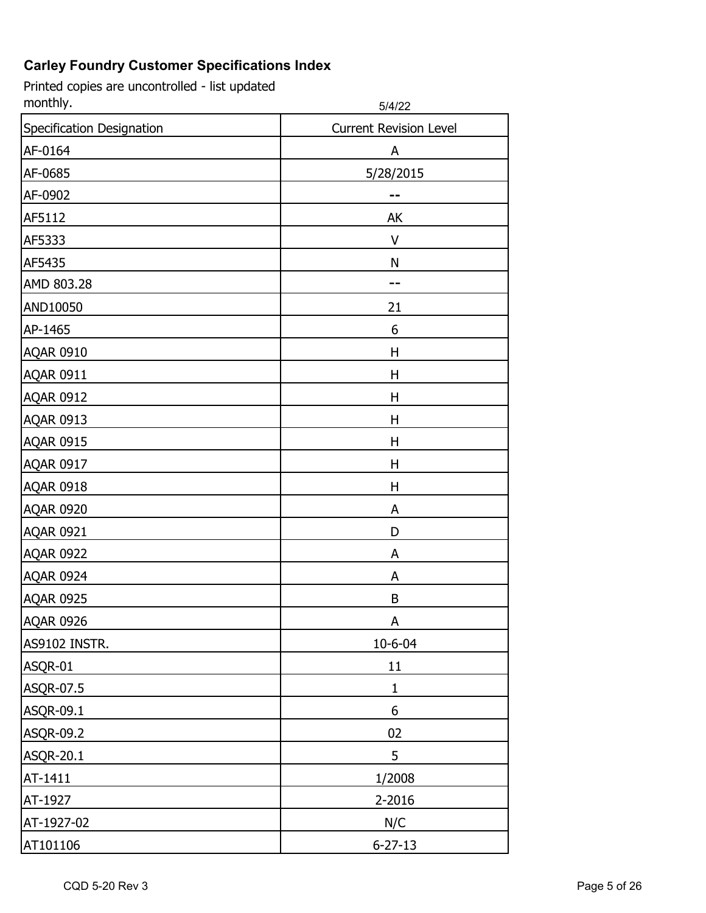| monthly.                  | 5/4/22                        |
|---------------------------|-------------------------------|
| Specification Designation | <b>Current Revision Level</b> |
| AF-0164                   | A                             |
| AF-0685                   | 5/28/2015                     |
| AF-0902                   | --                            |
| AF5112                    | AK                            |
| AF5333                    | V                             |
| AF5435                    | N                             |
| AMD 803.28                | --                            |
| AND10050                  | 21                            |
| AP-1465                   | 6                             |
| <b>AQAR 0910</b>          | Η                             |
| <b>AQAR 0911</b>          | H                             |
| <b>AQAR 0912</b>          | H                             |
| <b>AQAR 0913</b>          | Η                             |
| <b>AQAR 0915</b>          | Η                             |
| <b>AQAR 0917</b>          | H                             |
| <b>AQAR 0918</b>          | Η                             |
| <b>AQAR 0920</b>          | A                             |
| <b>AQAR 0921</b>          | D                             |
| <b>AQAR 0922</b>          | A                             |
| <b>AQAR 0924</b>          | A                             |
| <b>AQAR 0925</b>          | B                             |
| <b>AQAR 0926</b>          | A                             |
| AS9102 INSTR.             | 10-6-04                       |
| ASQR-01                   | 11                            |
| ASQR-07.5                 | $\mathbf{1}$                  |
| ASQR-09.1                 | 6                             |
| ASQR-09.2                 | 02                            |
| <b>ASQR-20.1</b>          | 5                             |
| AT-1411                   | 1/2008                        |
| AT-1927                   | 2-2016                        |
| AT-1927-02                | N/C                           |
| AT101106                  | $6 - 27 - 13$                 |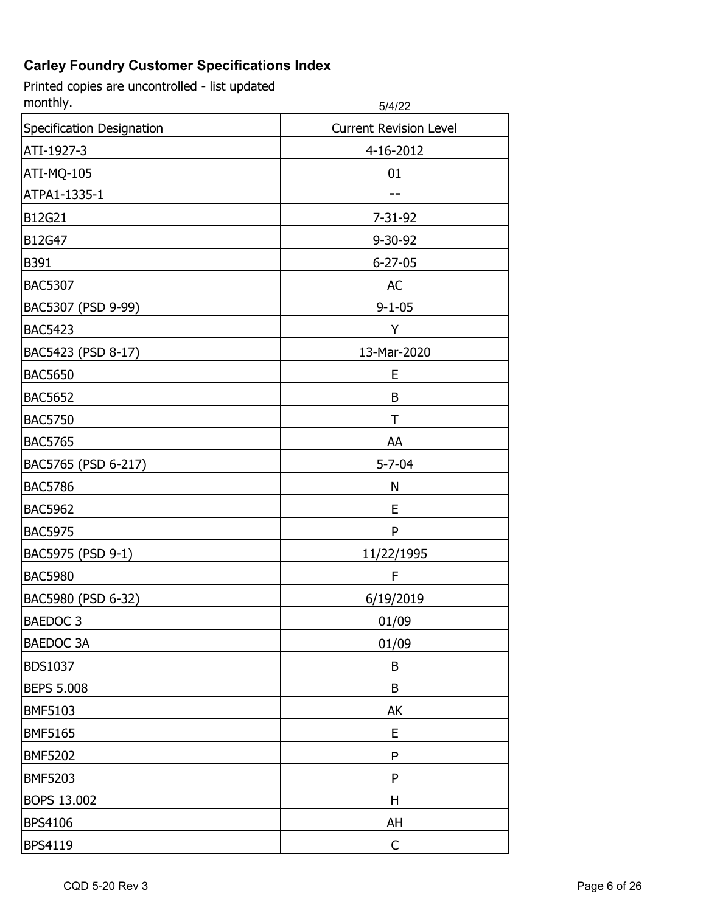| monthly.                  | 5/4/22                        |
|---------------------------|-------------------------------|
| Specification Designation | <b>Current Revision Level</b> |
| ATI-1927-3                | 4-16-2012                     |
| ATI-MQ-105                | 01                            |
| ATPA1-1335-1              |                               |
| B12G21                    | 7-31-92                       |
| B12G47                    | 9-30-92                       |
| B391                      | $6 - 27 - 05$                 |
| <b>BAC5307</b>            | AC                            |
| BAC5307 (PSD 9-99)        | $9 - 1 - 05$                  |
| <b>BAC5423</b>            | Y                             |
| BAC5423 (PSD 8-17)        | 13-Mar-2020                   |
| <b>BAC5650</b>            | E                             |
| <b>BAC5652</b>            | B                             |
| <b>BAC5750</b>            | Τ                             |
| <b>BAC5765</b>            | AA                            |
| BAC5765 (PSD 6-217)       | $5 - 7 - 04$                  |
| <b>BAC5786</b>            | N                             |
| <b>BAC5962</b>            | E                             |
| <b>BAC5975</b>            | P                             |
| BAC5975 (PSD 9-1)         | 11/22/1995                    |
| <b>BAC5980</b>            | F                             |
| BAC5980 (PSD 6-32)        | 6/19/2019                     |
| BAEDOC <sub>3</sub>       | 01/09                         |
| BAEDOC 3A                 | 01/09                         |
| <b>BDS1037</b>            | B                             |
| <b>BEPS 5.008</b>         | B                             |
| <b>BMF5103</b>            | AK                            |
| <b>BMF5165</b>            | E                             |
| <b>BMF5202</b>            | P                             |
| <b>BMF5203</b>            | P                             |
| BOPS 13.002               | Н                             |
| <b>BPS4106</b>            | AH                            |
| BPS4119                   | C                             |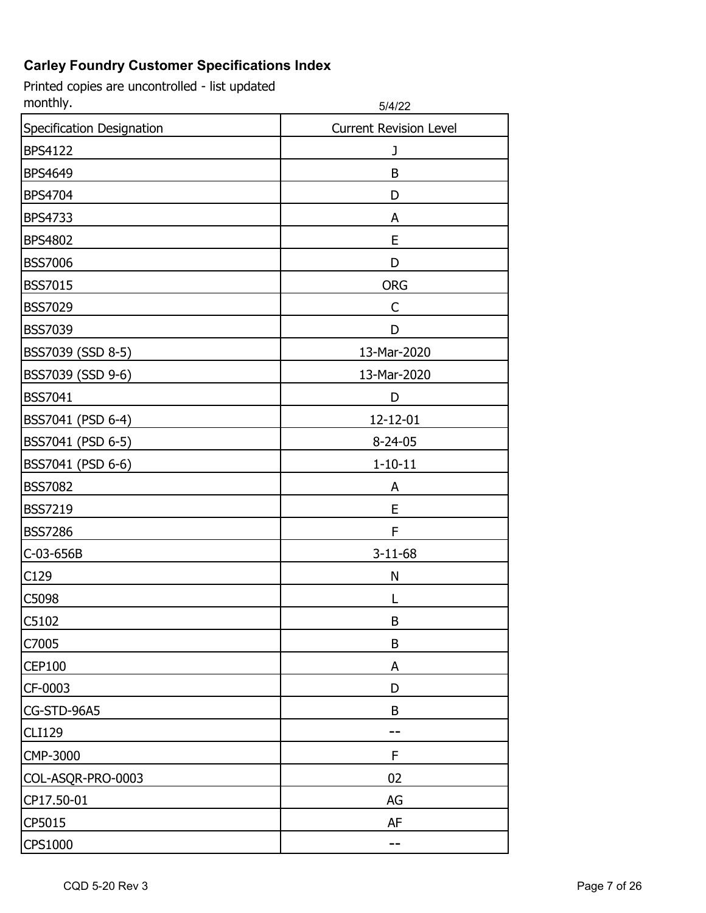| monthly.                  | 5/4/22                        |
|---------------------------|-------------------------------|
| Specification Designation | <b>Current Revision Level</b> |
| <b>BPS4122</b>            | J                             |
| <b>BPS4649</b>            | B                             |
| <b>BPS4704</b>            | D                             |
| <b>BPS4733</b>            | A                             |
| <b>BPS4802</b>            | E                             |
| <b>BSS7006</b>            | D                             |
| <b>BSS7015</b>            | <b>ORG</b>                    |
| <b>BSS7029</b>            | C                             |
| <b>BSS7039</b>            | D                             |
| BSS7039 (SSD 8-5)         | 13-Mar-2020                   |
| BSS7039 (SSD 9-6)         | 13-Mar-2020                   |
| <b>BSS7041</b>            | D                             |
| BSS7041 (PSD 6-4)         | 12-12-01                      |
| BSS7041 (PSD 6-5)         | $8 - 24 - 05$                 |
| BSS7041 (PSD 6-6)         | $1 - 10 - 11$                 |
| <b>BSS7082</b>            | A                             |
| <b>BSS7219</b>            | E                             |
| <b>BSS7286</b>            | F                             |
| C-03-656B                 | $3 - 11 - 68$                 |
| C129                      | N                             |
| C5098                     |                               |
| C5102                     | B                             |
| C7005                     | B                             |
| <b>CEP100</b>             | A                             |
| CF-0003                   | D                             |
| CG-STD-96A5               | B                             |
| <b>CLI129</b>             |                               |
| CMP-3000                  | F                             |
| COL-ASQR-PRO-0003         | 02                            |
| CP17.50-01                | AG                            |
| CP5015                    | AF                            |
| CPS1000                   | --                            |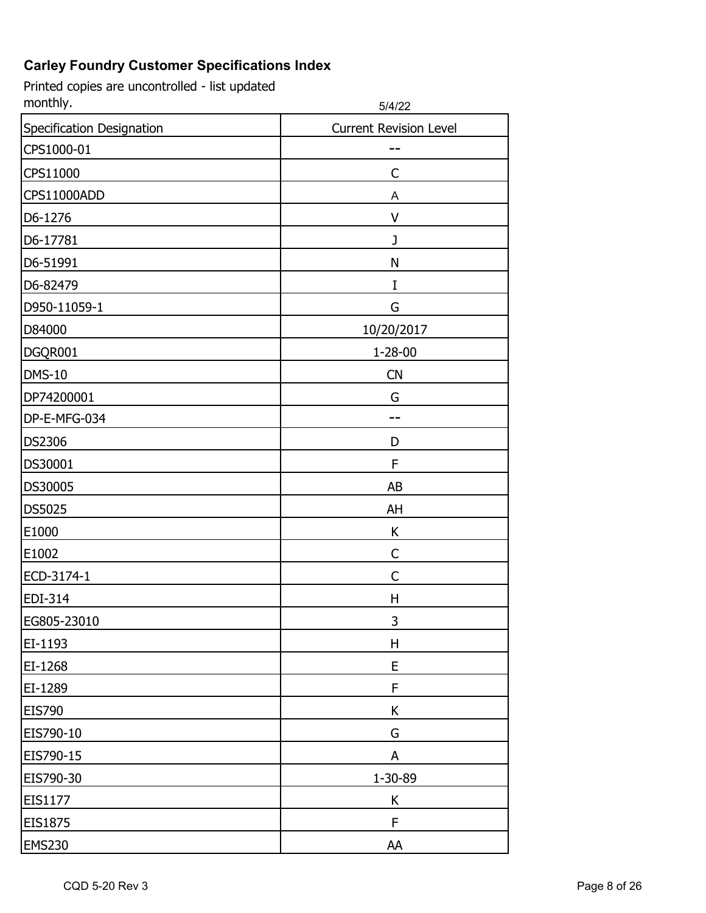| monthly.                  | 5/4/22                        |
|---------------------------|-------------------------------|
| Specification Designation | <b>Current Revision Level</b> |
| CPS1000-01                |                               |
| CPS11000                  | C                             |
| CPS11000ADD               | A                             |
| D6-1276                   | V                             |
| D6-17781                  | J                             |
| D6-51991                  | N                             |
| D6-82479                  | I                             |
| D950-11059-1              | G                             |
| D84000                    | 10/20/2017                    |
| DGQR001                   | $1 - 28 - 00$                 |
| <b>DMS-10</b>             | CN                            |
| DP74200001                | G                             |
| DP-E-MFG-034              |                               |
| <b>DS2306</b>             | D                             |
| DS30001                   | F                             |
| DS30005                   | AB                            |
| DS5025                    | AH                            |
| E1000                     | K                             |
| E1002                     | С                             |
| ECD-3174-1                | C                             |
| EDI-314                   | Η                             |
| EG805-23010               | 3                             |
| EI-1193                   | н                             |
| EI-1268                   | E                             |
| EI-1289                   | F                             |
| <b>EIS790</b>             | K                             |
| EIS790-10                 | G                             |
| EIS790-15                 | A                             |
| EIS790-30                 | 1-30-89                       |
| EIS1177                   | K                             |
| EIS1875                   | F.                            |
| <b>EMS230</b>             | AA                            |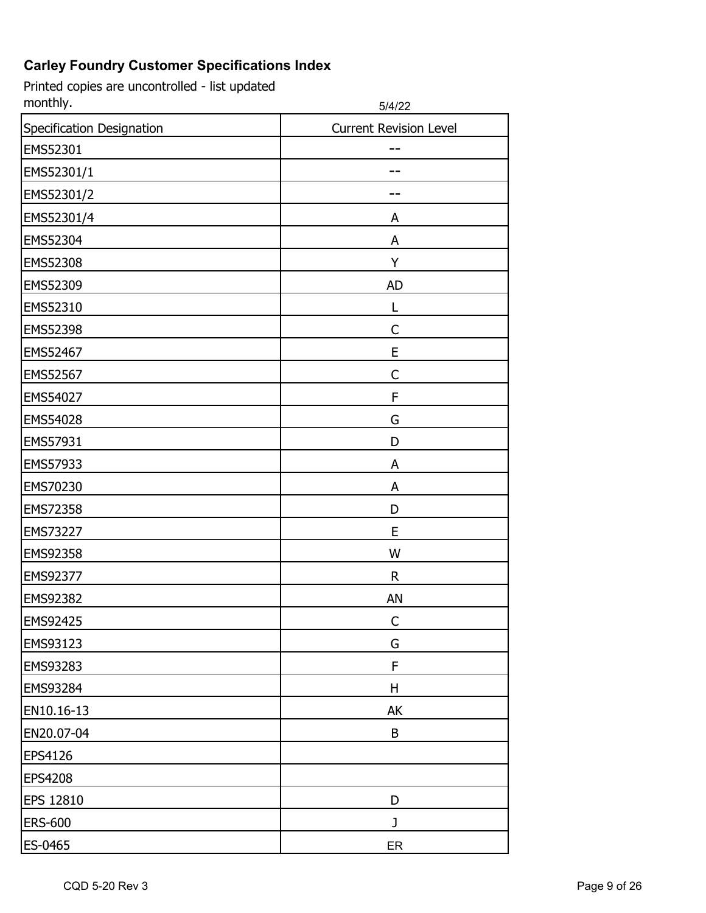| monthly.                  | 5/4/22                        |
|---------------------------|-------------------------------|
| Specification Designation | <b>Current Revision Level</b> |
| EMS52301                  |                               |
| EMS52301/1                |                               |
| EMS52301/2                |                               |
| EMS52301/4                | A                             |
| EMS52304                  | A                             |
| EMS52308                  | Y                             |
| EMS52309                  | <b>AD</b>                     |
| EMS52310                  |                               |
| EMS52398                  | C                             |
| EMS52467                  | E                             |
| EMS52567                  | C                             |
| EMS54027                  | F                             |
| EMS54028                  | G                             |
| EMS57931                  | D                             |
| EMS57933                  | A                             |
| EMS70230                  | A                             |
| EMS72358                  | D                             |
| <b>EMS73227</b>           | E                             |
| EMS92358                  | W                             |
| EMS92377                  | $\mathsf{R}$                  |
| EMS92382                  | AN                            |
| <b>EMS92425</b>           | С                             |
| EMS93123                  | G                             |
| EMS93283                  | F                             |
| EMS93284                  | H                             |
| EN10.16-13                | AK                            |
| EN20.07-04                | B                             |
| <b>EPS4126</b>            |                               |
| <b>EPS4208</b>            |                               |
| <b>EPS 12810</b>          | D                             |
| <b>ERS-600</b>            | J                             |
| ES-0465                   | ER                            |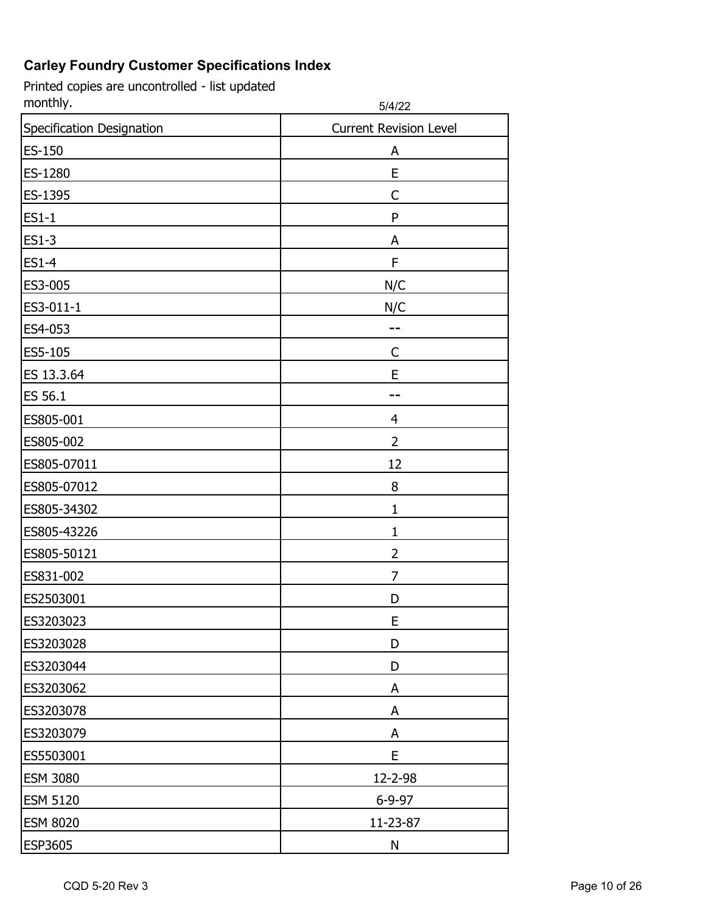| monthly.                  | 5/4/22                        |
|---------------------------|-------------------------------|
| Specification Designation | <b>Current Revision Level</b> |
| <b>ES-150</b>             | A                             |
| ES-1280                   | E                             |
| ES-1395                   | C                             |
| <b>ES1-1</b>              | P                             |
| <b>ES1-3</b>              | A                             |
| <b>ES1-4</b>              | F                             |
| ES3-005                   | N/C                           |
| ES3-011-1                 | N/C                           |
| ES4-053                   |                               |
| ES5-105                   | C                             |
| ES 13.3.64                | E                             |
| ES 56.1                   |                               |
| ES805-001                 | $\overline{4}$                |
| ES805-002                 | 2                             |
| ES805-07011               | 12                            |
| ES805-07012               | 8                             |
| ES805-34302               | 1                             |
| ES805-43226               | $\mathbf{1}$                  |
| ES805-50121               | $\overline{2}$                |
| ES831-002                 | $\overline{7}$                |
| ES2503001                 | D                             |
| ES3203023                 | Ε                             |
| ES3203028                 | D                             |
| ES3203044                 | D                             |
| ES3203062                 | A                             |
| ES3203078                 | A                             |
| ES3203079                 | A                             |
| ES5503001                 | E                             |
| <b>ESM 3080</b>           | 12-2-98                       |
| <b>ESM 5120</b>           | $6 - 9 - 97$                  |
| <b>ESM 8020</b>           | 11-23-87                      |
| ESP3605                   | ${\sf N}$                     |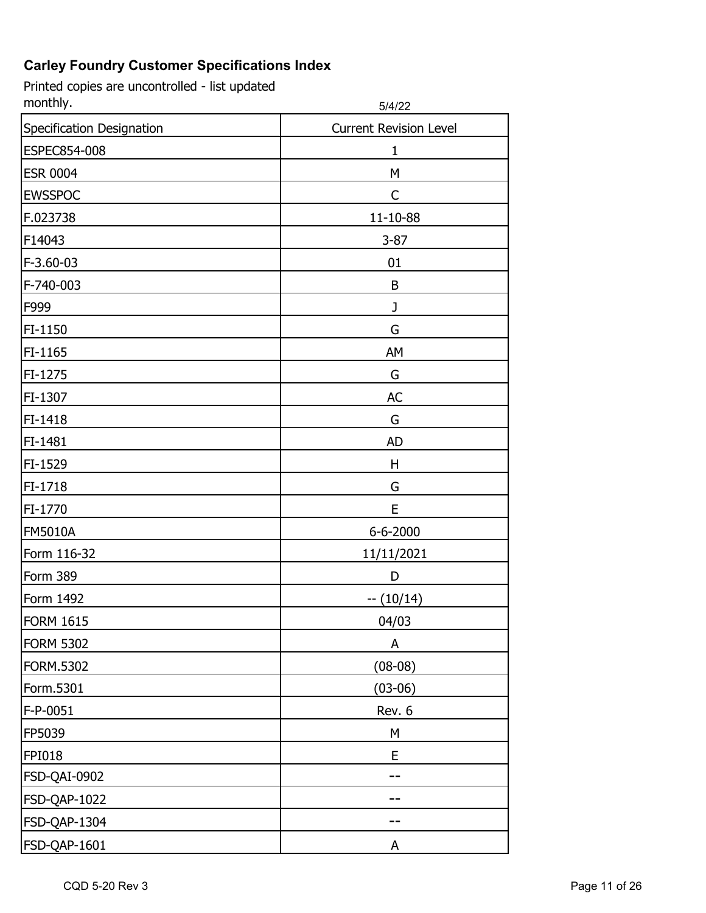| monthly.                  | 5/4/22                        |
|---------------------------|-------------------------------|
| Specification Designation | <b>Current Revision Level</b> |
| ESPEC854-008              | 1                             |
| <b>ESR 0004</b>           | M                             |
| <b>EWSSPOC</b>            | C                             |
| F.023738                  | 11-10-88                      |
| F14043                    | $3 - 87$                      |
| F-3.60-03                 | 01                            |
| F-740-003                 | B                             |
| F999                      | J                             |
| FI-1150                   | G                             |
| FI-1165                   | AM                            |
| FI-1275                   | G                             |
| FI-1307                   | <b>AC</b>                     |
| FI-1418                   | G                             |
| FI-1481                   | <b>AD</b>                     |
| FI-1529                   | Η                             |
| FI-1718                   | G                             |
| FI-1770                   | E                             |
| <b>FM5010A</b>            | 6-6-2000                      |
| Form 116-32               | 11/11/2021                    |
| Form 389                  | D                             |
| Form 1492                 | $-(10/14)$                    |
| <b>FORM 1615</b>          | 04/03                         |
| <b>FORM 5302</b>          | A                             |
| <b>FORM.5302</b>          | $(08-08)$                     |
| Form.5301                 | $(03-06)$                     |
| F-P-0051                  | Rev. 6                        |
| FP5039                    | M                             |
| <b>FPI018</b>             | E                             |
| FSD-QAI-0902              |                               |
| FSD-QAP-1022              |                               |
| FSD-QAP-1304              |                               |
| FSD-QAP-1601              | Α                             |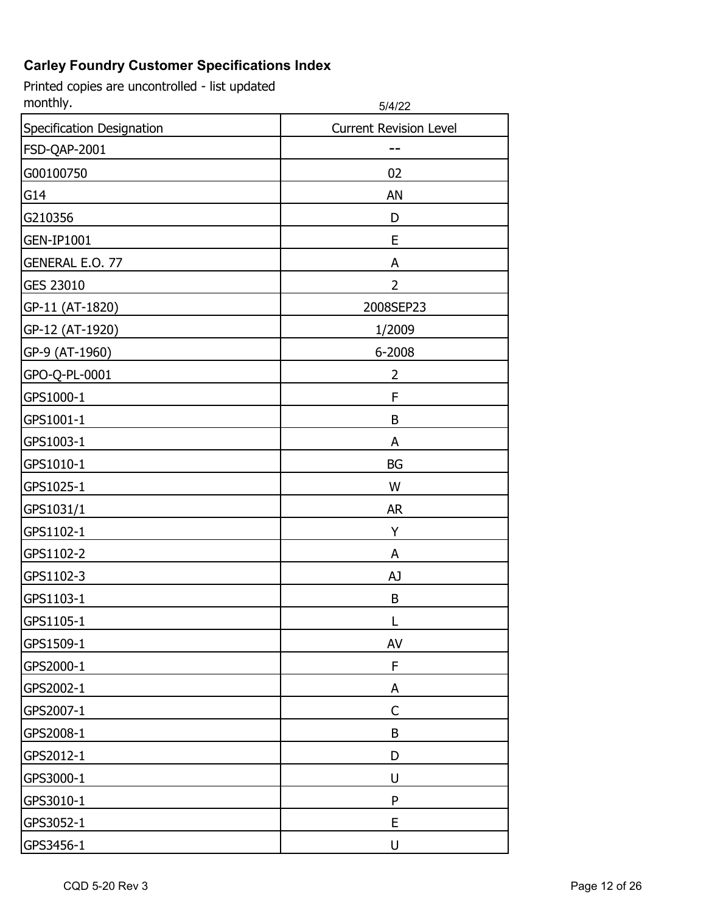| monthly.                  | 5/4/22                        |
|---------------------------|-------------------------------|
| Specification Designation | <b>Current Revision Level</b> |
| FSD-QAP-2001              |                               |
| G00100750                 | 02                            |
| G14                       | AN                            |
| G210356                   | D                             |
| <b>GEN-IP1001</b>         | E                             |
| <b>GENERAL E.O. 77</b>    | A                             |
| <b>GES 23010</b>          | $\overline{2}$                |
| GP-11 (AT-1820)           | 2008SEP23                     |
| GP-12 (AT-1920)           | 1/2009                        |
| GP-9 (AT-1960)            | 6-2008                        |
| GPO-Q-PL-0001             | 2                             |
| GPS1000-1                 | F                             |
| GPS1001-1                 | B                             |
| GPS1003-1                 | A                             |
| GPS1010-1                 | BG                            |
| GPS1025-1                 | W                             |
| GPS1031/1                 | <b>AR</b>                     |
| GPS1102-1                 | Υ                             |
| GPS1102-2                 | A                             |
| GPS1102-3                 | AJ                            |
| GPS1103-1                 | B                             |
| GPS1105-1                 |                               |
| GPS1509-1                 | AV                            |
| GPS2000-1                 | F                             |
| GPS2002-1                 | A                             |
| GPS2007-1                 | C                             |
| GPS2008-1                 | B                             |
| GPS2012-1                 | D                             |
| GPS3000-1                 | U                             |
| GPS3010-1                 | P                             |
| GPS3052-1                 | E                             |
| GPS3456-1                 | U                             |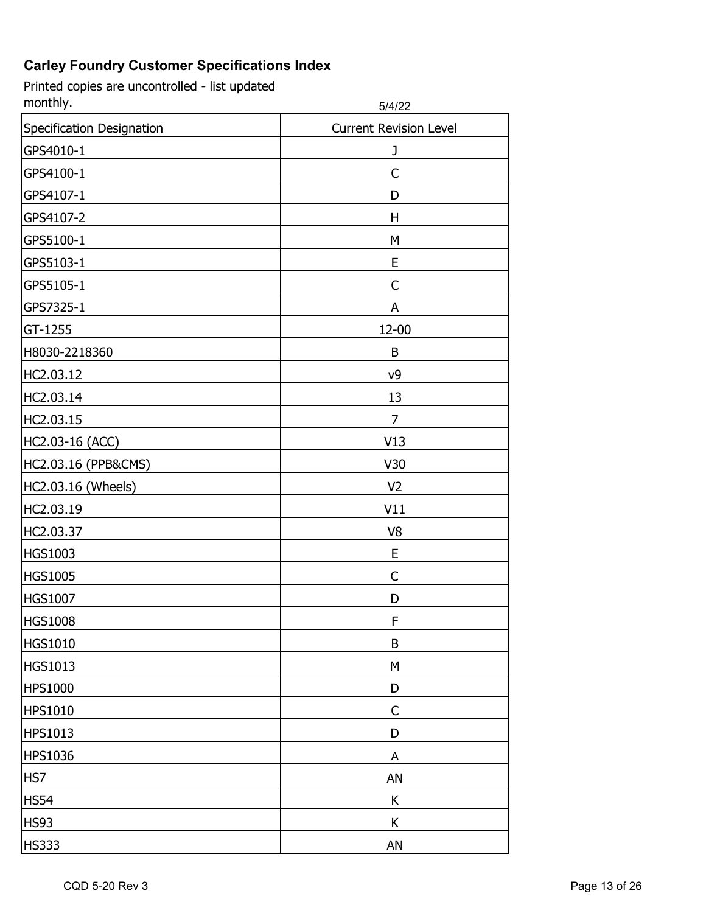| monthly.                  | 5/4/22                        |
|---------------------------|-------------------------------|
| Specification Designation | <b>Current Revision Level</b> |
| GPS4010-1                 | J                             |
| GPS4100-1                 | C                             |
| GPS4107-1                 | D                             |
| GPS4107-2                 | Η                             |
| GPS5100-1                 | M                             |
| GPS5103-1                 | E                             |
| GPS5105-1                 | C                             |
| GPS7325-1                 | Α                             |
| GT-1255                   | 12-00                         |
| H8030-2218360             | B                             |
| HC2.03.12                 | ν9                            |
| HC2.03.14                 | 13                            |
| HC2.03.15                 | 7                             |
| HC2.03-16 (ACC)           | V13                           |
| HC2.03.16 (PPB&CMS)       | V30                           |
| HC2.03.16 (Wheels)        | V <sub>2</sub>                |
| HC2.03.19                 | V11                           |
| HC2.03.37                 | V8                            |
| <b>HGS1003</b>            | E                             |
| <b>HGS1005</b>            | C                             |
| <b>HGS1007</b>            | D                             |
| <b>HGS1008</b>            | F                             |
| <b>HGS1010</b>            | B                             |
| <b>HGS1013</b>            | M                             |
| <b>HPS1000</b>            | D                             |
| <b>HPS1010</b>            | C                             |
| HPS1013                   | D                             |
| <b>HPS1036</b>            | A                             |
| HS7                       | AN                            |
| <b>HS54</b>               | K                             |
| <b>HS93</b>               | K                             |
| <b>HS333</b>              | AN                            |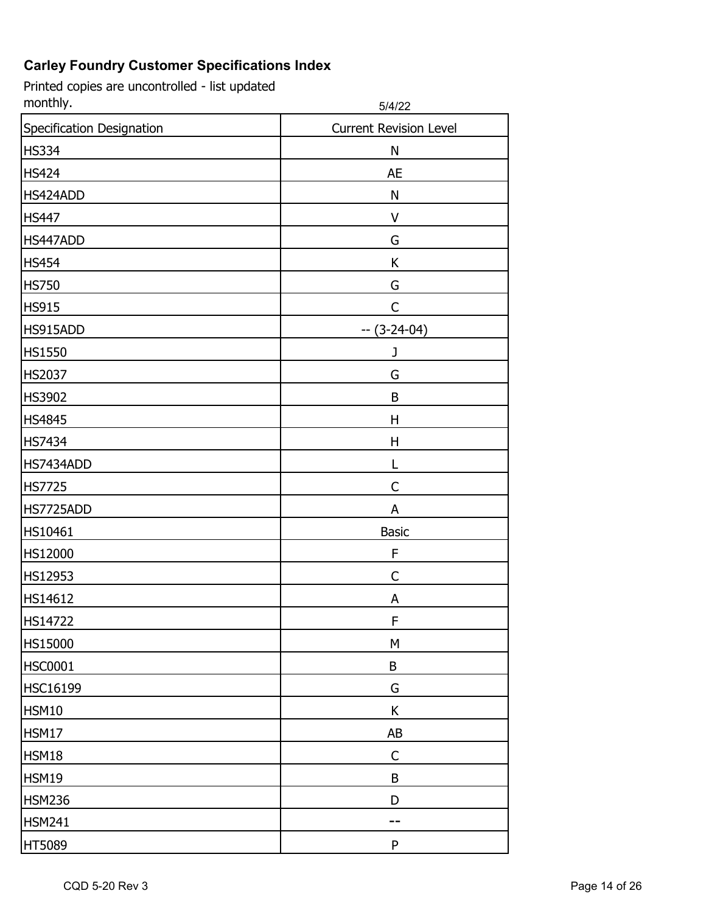| monthly.                  | 5/4/22                        |
|---------------------------|-------------------------------|
| Specification Designation | <b>Current Revision Level</b> |
| <b>HS334</b>              | N                             |
| <b>HS424</b>              | <b>AE</b>                     |
| HS424ADD                  | N                             |
| <b>HS447</b>              | V                             |
| HS447ADD                  | G                             |
| <b>HS454</b>              | Κ                             |
| <b>HS750</b>              | G                             |
| <b>HS915</b>              | C                             |
| HS915ADD                  | $- (3-24-04)$                 |
| <b>HS1550</b>             | J                             |
| <b>HS2037</b>             | G                             |
| <b>HS3902</b>             | B                             |
| <b>HS4845</b>             | H                             |
| <b>HS7434</b>             | H                             |
| HS7434ADD                 | L                             |
| <b>HS7725</b>             | C                             |
| HS7725ADD                 | A                             |
| HS10461                   | <b>Basic</b>                  |
| HS12000                   | F                             |
| <b>HS12953</b>            | C                             |
| HS14612                   | A                             |
| <b>HS14722</b>            | ۲                             |
| <b>HS15000</b>            | M                             |
| <b>HSC0001</b>            | B                             |
| <b>HSC16199</b>           | G                             |
| HSM10                     | K                             |
| HSM17                     | AB                            |
| HSM18                     | $\mathsf{C}$                  |
| HSM19                     | B                             |
| <b>HSM236</b>             | D                             |
| <b>HSM241</b>             |                               |
| HT5089                    | ${\sf P}$                     |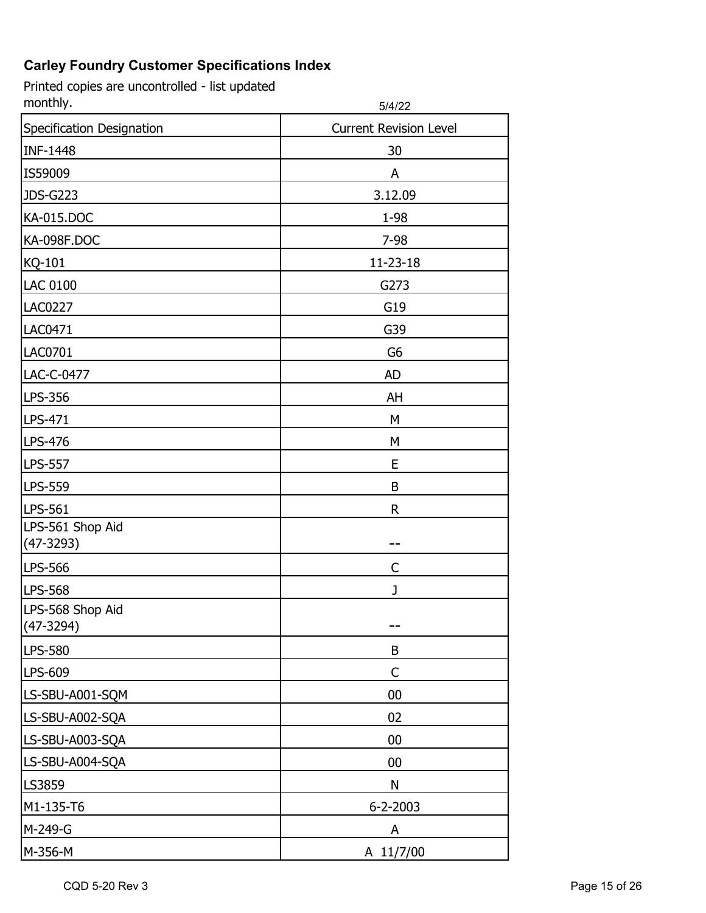| monthly.                          | 5/4/22                        |
|-----------------------------------|-------------------------------|
| Specification Designation         | <b>Current Revision Level</b> |
| <b>INF-1448</b>                   | 30                            |
| IS59009                           | A                             |
| <b>JDS-G223</b>                   | 3.12.09                       |
| <b>KA-015.DOC</b>                 | 1-98                          |
| <b>KA-098F.DOC</b>                | 7-98                          |
| KQ-101                            | 11-23-18                      |
| <b>LAC 0100</b>                   | G273                          |
| <b>LAC0227</b>                    | G19                           |
| <b>LAC0471</b>                    | G39                           |
| <b>LAC0701</b>                    | G <sub>6</sub>                |
| LAC-C-0477                        | <b>AD</b>                     |
| LPS-356                           | AH                            |
| LPS-471                           | M                             |
| LPS-476                           | М                             |
| <b>LPS-557</b>                    | E                             |
| <b>LPS-559</b>                    | B                             |
| LPS-561                           | R                             |
| LPS-561 Shop Aid                  |                               |
| $(47-3293)$                       |                               |
| <b>LPS-566</b>                    | C                             |
| <b>LPS-568</b>                    | J                             |
| LPS-568 Shop Aid<br>$(47 - 3294)$ |                               |
| LPS-580                           | B                             |
| LPS-609                           | C                             |
| LS-SBU-A001-SQM                   | 00                            |
| LS-SBU-A002-SQA                   | 02                            |
| LS-SBU-A003-SQA                   | 00                            |
| LS-SBU-A004-SQA                   | $00\,$                        |
| LS3859                            | N                             |
| M1-135-T6                         | $6 - 2 - 2003$                |
| M-249-G                           | A                             |
| M-356-M                           | A 11/7/00                     |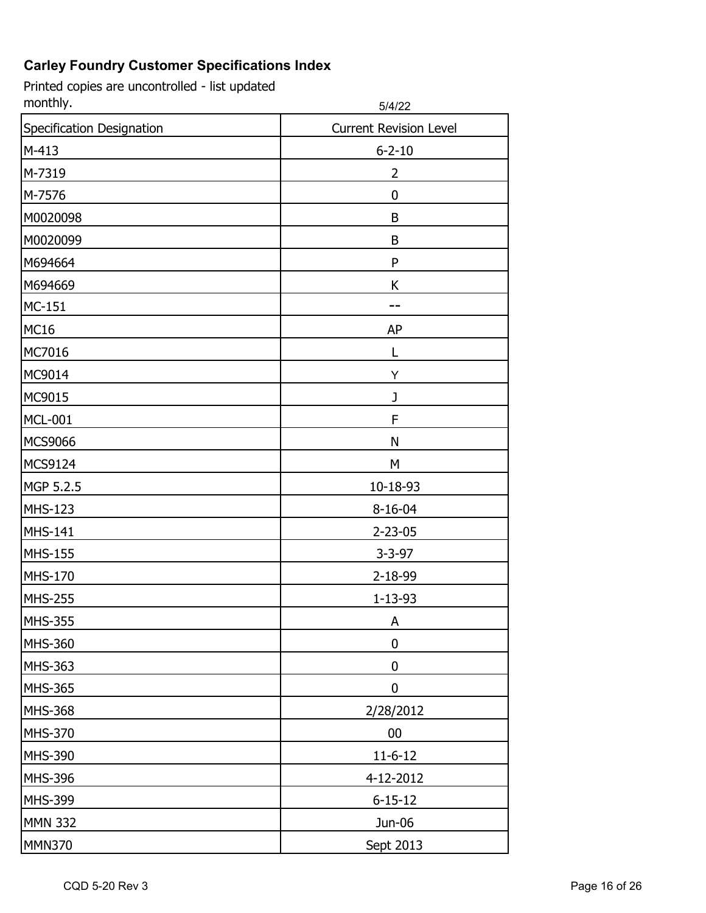| monthly.                  | 5/4/22                        |
|---------------------------|-------------------------------|
| Specification Designation | <b>Current Revision Level</b> |
| $M-413$                   | $6 - 2 - 10$                  |
| M-7319                    | 2                             |
| M-7576                    | 0                             |
| M0020098                  | B                             |
| M0020099                  | B                             |
| M694664                   | P                             |
| M694669                   | K                             |
| <b>MC-151</b>             |                               |
| <b>MC16</b>               | AP                            |
| MC7016                    | L                             |
| MC9014                    | Υ                             |
| MC9015                    | J                             |
| <b>MCL-001</b>            | F                             |
| <b>MCS9066</b>            | N                             |
| MCS9124                   | M                             |
| MGP 5.2.5                 | 10-18-93                      |
| <b>MHS-123</b>            | 8-16-04                       |
| <b>MHS-141</b>            | $2 - 23 - 05$                 |
| <b>MHS-155</b>            | $3 - 3 - 97$                  |
| <b>MHS-170</b>            | 2-18-99                       |
| <b>MHS-255</b>            | $1 - 13 - 93$                 |
| <b>MHS-355</b>            | A                             |
| MHS-360                   | 0                             |
| MHS-363                   | 0                             |
| <b>MHS-365</b>            | 0                             |
| <b>MHS-368</b>            | 2/28/2012                     |
| <b>MHS-370</b>            | $00\,$                        |
| <b>MHS-390</b>            | $11-6-12$                     |
| <b>MHS-396</b>            | 4-12-2012                     |
| MHS-399                   | $6 - 15 - 12$                 |
| <b>MMN 332</b>            | Jun-06                        |
| <b>MMN370</b>             | Sept 2013                     |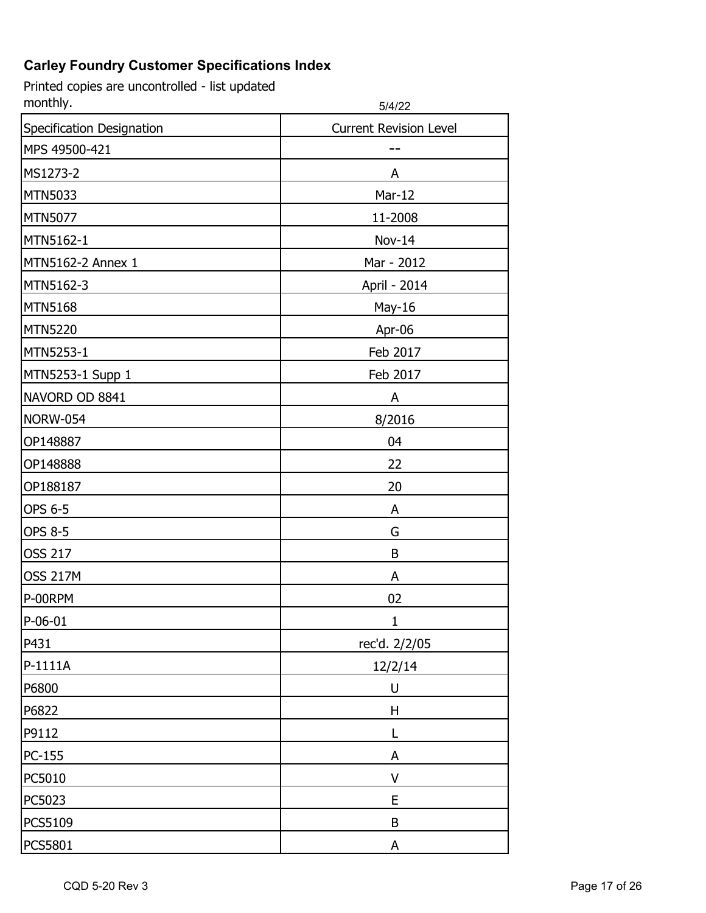| monthly.                  | 5/4/22                        |
|---------------------------|-------------------------------|
| Specification Designation | <b>Current Revision Level</b> |
| MPS 49500-421             |                               |
| MS1273-2                  | A                             |
| <b>MTN5033</b>            | Mar-12                        |
| <b>MTN5077</b>            | 11-2008                       |
| MTN5162-1                 | Nov-14                        |
| MTN5162-2 Annex 1         | Mar - 2012                    |
| MTN5162-3                 | April - 2014                  |
| <b>MTN5168</b>            | May-16                        |
| <b>MTN5220</b>            | Apr-06                        |
| MTN5253-1                 | Feb 2017                      |
| MTN5253-1 Supp 1          | Feb 2017                      |
| NAVORD OD 8841            | A                             |
| <b>NORW-054</b>           | 8/2016                        |
| OP148887                  | 04                            |
| OP148888                  | 22                            |
| OP188187                  | 20                            |
| OPS 6-5                   | A                             |
| <b>OPS 8-5</b>            | G                             |
| <b>OSS 217</b>            | B                             |
| <b>OSS 217M</b>           | A                             |
| P-00RPM                   | 02                            |
| $P-06-01$                 | 1                             |
| P431                      | rec'd. 2/2/05                 |
| P-1111A                   | 12/2/14                       |
| P6800                     | U                             |
| P6822                     | Η                             |
| P9112                     | L                             |
| PC-155                    | A                             |
| PC5010                    | V                             |
| PC5023                    | E                             |
| PCS5109                   | B                             |
| PCS5801                   | A                             |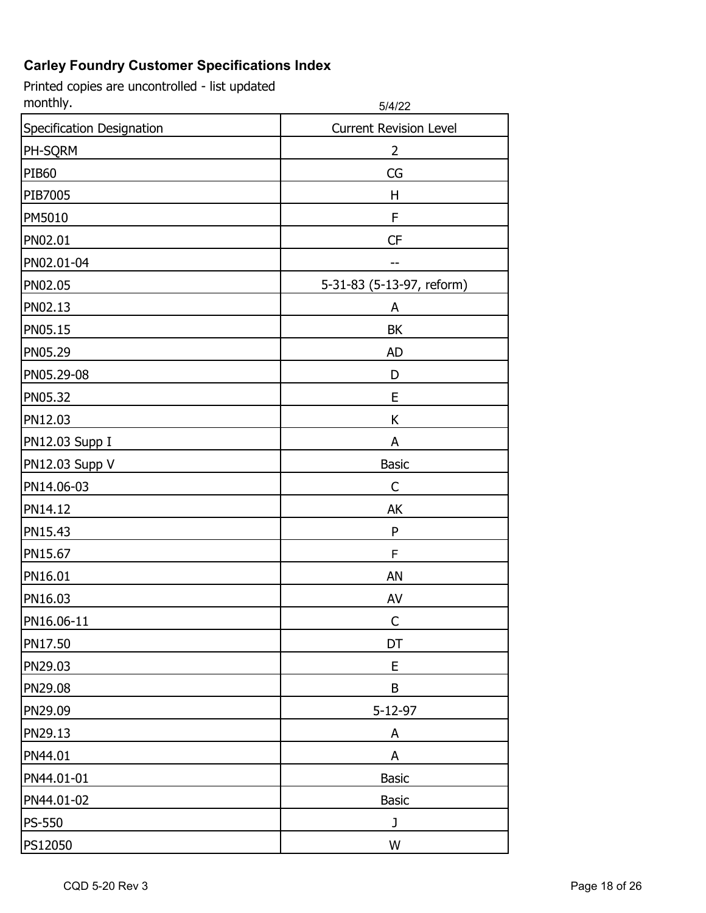| monthly.                  | 5/4/22                        |
|---------------------------|-------------------------------|
| Specification Designation | <b>Current Revision Level</b> |
| PH-SQRM                   | 2                             |
| <b>PIB60</b>              | CG                            |
| PIB7005                   | Η                             |
| PM5010                    | F                             |
| PN02.01                   | CF                            |
| PN02.01-04                |                               |
| PN02.05                   | 5-31-83 (5-13-97, reform)     |
| PN02.13                   | A                             |
| PN05.15                   | BK                            |
| PN05.29                   | <b>AD</b>                     |
| PN05.29-08                | D                             |
| PN05.32                   | E                             |
| PN12.03                   | K                             |
| PN12.03 Supp I            | A                             |
| PN12.03 Supp V            | <b>Basic</b>                  |
| PN14.06-03                | C                             |
| PN14.12                   | AK                            |
| PN15.43                   | ${\sf P}$                     |
| PN15.67                   | F                             |
| PN16.01                   | AN                            |
| PN16.03                   | AV                            |
| PN16.06-11                | С                             |
| PN17.50                   | DT                            |
| PN29.03                   | E                             |
| PN29.08                   | B                             |
| PN29.09                   | 5-12-97                       |
| PN29.13                   | A                             |
| PN44.01                   | A                             |
| PN44.01-01                | <b>Basic</b>                  |
| PN44.01-02                | <b>Basic</b>                  |
| <b>PS-550</b>             | J                             |
| PS12050                   | W                             |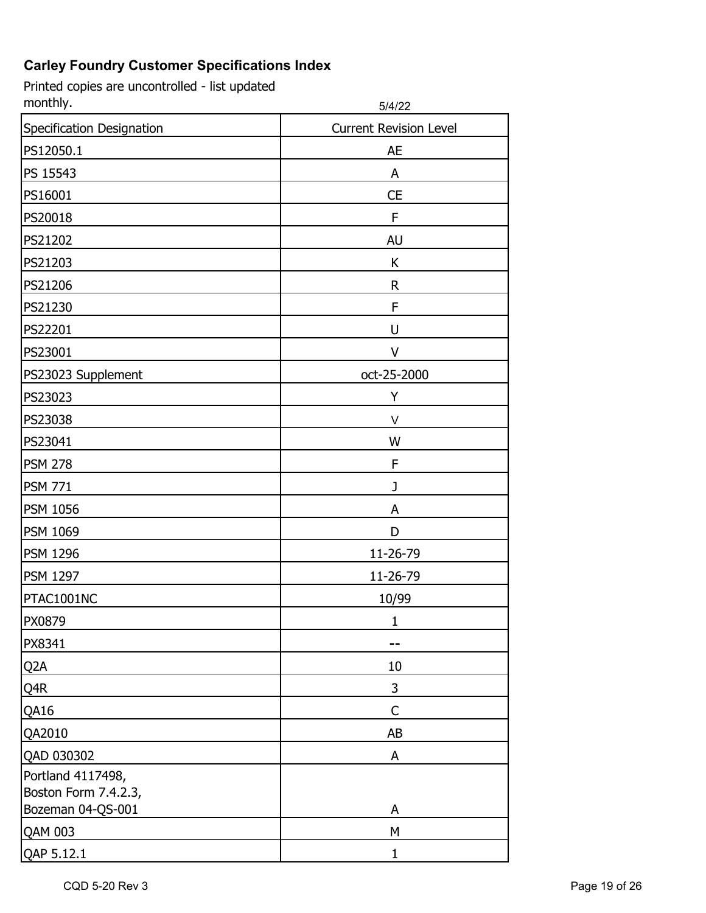| monthly.                  | 5/4/22                        |
|---------------------------|-------------------------------|
| Specification Designation | <b>Current Revision Level</b> |
| PS12050.1                 | <b>AE</b>                     |
| PS 15543                  | A                             |
| PS16001                   | <b>CE</b>                     |
| PS20018                   | F                             |
| PS21202                   | <b>AU</b>                     |
| PS21203                   | K                             |
| PS21206                   | R                             |
| PS21230                   | F                             |
| PS22201                   | U                             |
| PS23001                   | V                             |
| PS23023 Supplement        | oct-25-2000                   |
| PS23023                   | Υ                             |
| PS23038                   | V                             |
| PS23041                   | W                             |
| <b>PSM 278</b>            | F                             |
| <b>PSM 771</b>            | J                             |
| <b>PSM 1056</b>           | A                             |
| <b>PSM 1069</b>           | D                             |
| <b>PSM 1296</b>           | 11-26-79                      |
| <b>PSM 1297</b>           | 11-26-79                      |
| PTAC1001NC                | 10/99                         |
| PX0879                    |                               |
| PX8341                    |                               |
| Q <sub>2</sub> A          | 10                            |
| Q4R                       | 3                             |
| QA16                      | $\mathsf C$                   |
| QA2010                    | AB                            |
| QAD 030302                | A                             |
| Portland 4117498,         |                               |
| Boston Form 7.4.2.3,      |                               |
| Bozeman 04-QS-001         | A<br>M                        |
| QAM 003                   |                               |
| QAP 5.12.1                | 1                             |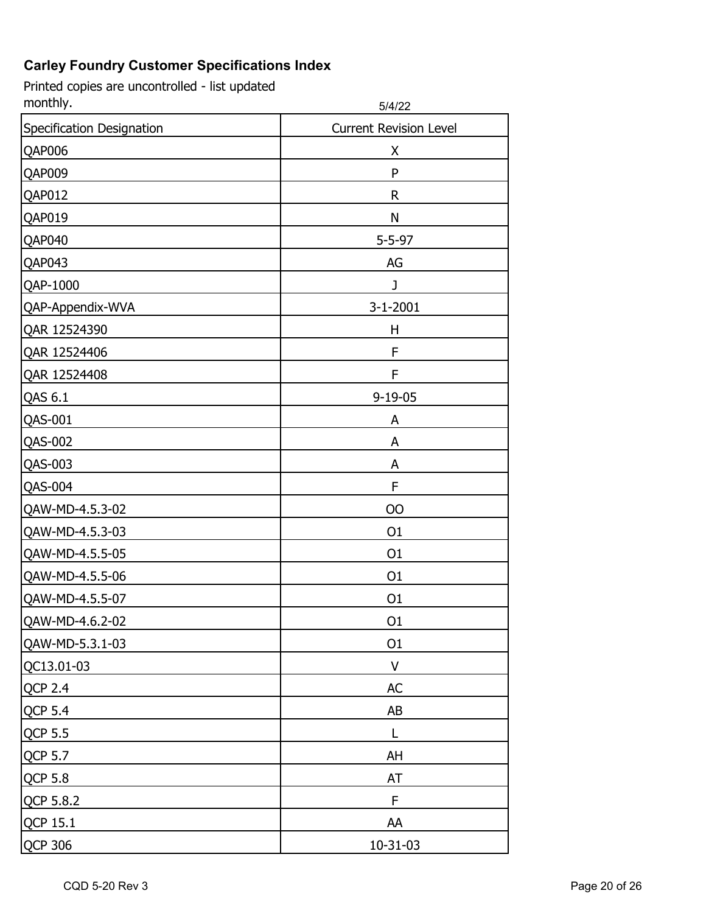| monthly.                  | 5/4/22                        |
|---------------------------|-------------------------------|
| Specification Designation | <b>Current Revision Level</b> |
| QAP006                    | X                             |
| QAP009                    | ${\sf P}$                     |
| QAP012                    | R                             |
| QAP019                    | N                             |
| QAP040                    | $5 - 5 - 97$                  |
| QAP043                    | AG                            |
| QAP-1000                  | J                             |
| QAP-Appendix-WVA          | $3-1-2001$                    |
| QAR 12524390              | H                             |
| QAR 12524406              | F                             |
| QAR 12524408              | F                             |
| QAS 6.1                   | $9 - 19 - 05$                 |
| QAS-001                   | A                             |
| QAS-002                   | A                             |
| QAS-003                   | A                             |
| <b>QAS-004</b>            | F                             |
| QAW-MD-4.5.3-02           | <b>OO</b>                     |
| QAW-MD-4.5.3-03           | O <sub>1</sub>                |
| QAW-MD-4.5.5-05           | O <sub>1</sub>                |
| QAW-MD-4.5.5-06           | O <sub>1</sub>                |
| QAW-MD-4.5.5-07           | O <sub>1</sub>                |
| QAW-MD-4.6.2-02           | O <sub>1</sub>                |
| QAW-MD-5.3.1-03           | 01                            |
| QC13.01-03                | V                             |
| <b>QCP 2.4</b>            | AC                            |
| <b>QCP 5.4</b>            | AB                            |
| QCP 5.5                   |                               |
| <b>QCP 5.7</b>            | AH                            |
| <b>QCP 5.8</b>            | AT                            |
| QCP 5.8.2                 | F                             |
| QCP 15.1                  | AA                            |
| QCP 306                   | 10-31-03                      |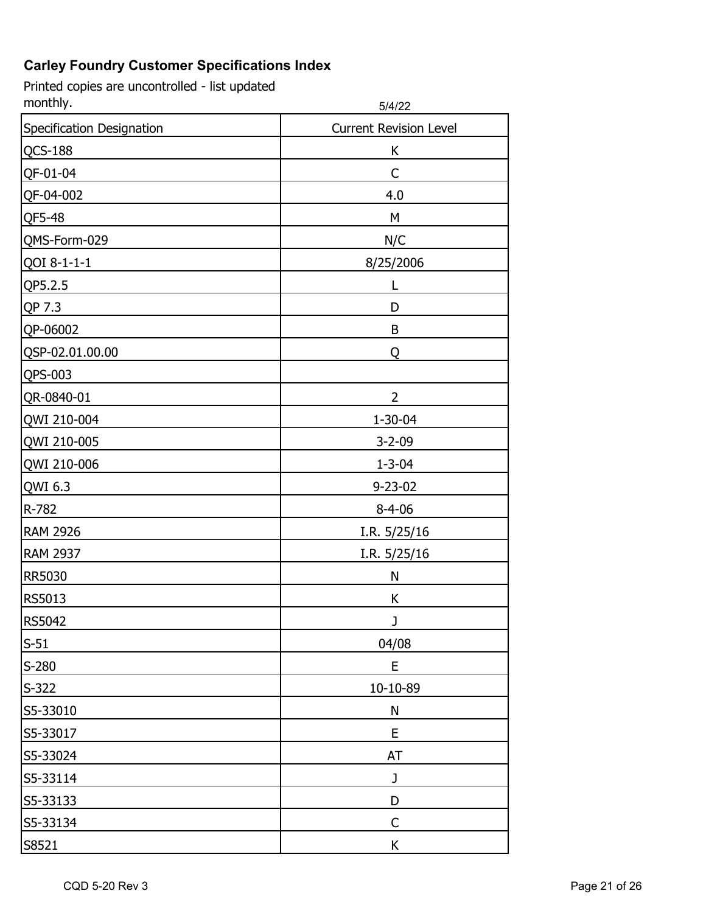| monthly.                  | 5/4/22                        |
|---------------------------|-------------------------------|
| Specification Designation | <b>Current Revision Level</b> |
| <b>QCS-188</b>            | K                             |
| QF-01-04                  | C                             |
| QF-04-002                 | 4.0                           |
| QF5-48                    | M                             |
| QMS-Form-029              | N/C                           |
| QOI 8-1-1-1               | 8/25/2006                     |
| QP5.2.5                   |                               |
| QP 7.3                    | D                             |
| QP-06002                  | B                             |
| QSP-02.01.00.00           | Q                             |
| QPS-003                   |                               |
| QR-0840-01                | 2                             |
| QWI 210-004               | 1-30-04                       |
| QWI 210-005               | $3 - 2 - 09$                  |
| QWI 210-006               | $1 - 3 - 04$                  |
| QWI 6.3                   | $9 - 23 - 02$                 |
| R-782                     | $8 - 4 - 06$                  |
| <b>RAM 2926</b>           | I.R. $5/25/16$                |
| <b>RAM 2937</b>           | I.R. $5/25/16$                |
| RR5030                    | N                             |
| RS5013                    | K                             |
| RS5042                    |                               |
| $S-51$                    | 04/08                         |
| $S-280$                   | E                             |
| $S-322$                   | 10-10-89                      |
| S5-33010                  | N                             |
| S5-33017                  | E                             |
| S5-33024                  | <b>AT</b>                     |
| S5-33114                  | J                             |
| S5-33133                  | D                             |
| S5-33134                  | C                             |
| S8521                     | K                             |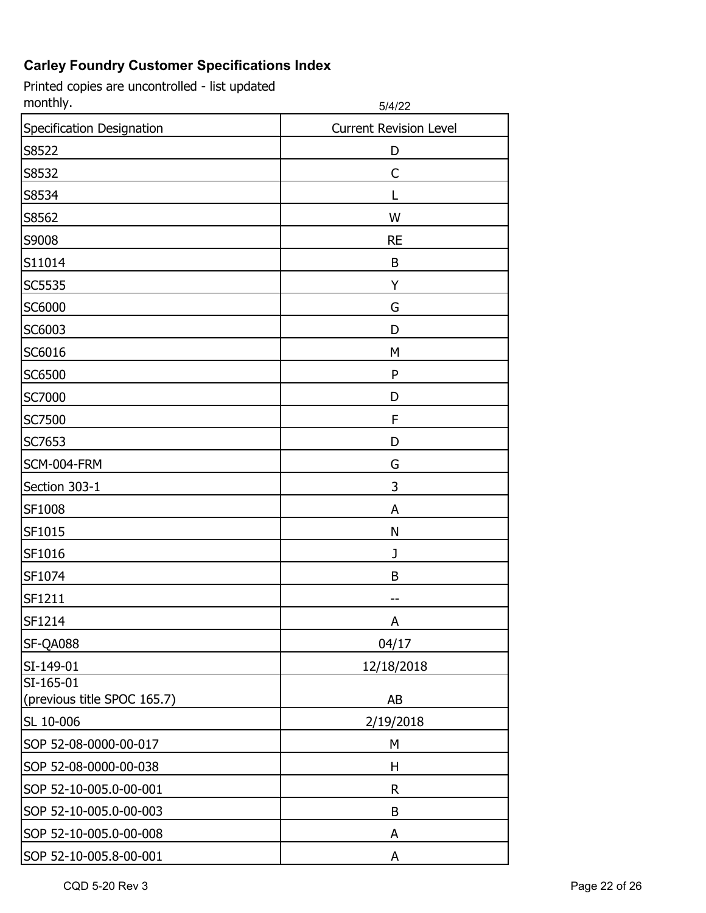| monthly.                    | 5/4/22                        |
|-----------------------------|-------------------------------|
| Specification Designation   | <b>Current Revision Level</b> |
| S8522                       | D                             |
| S8532                       | C                             |
| S8534                       |                               |
| S8562                       | W                             |
| S9008                       | <b>RE</b>                     |
| S11014                      | B                             |
| SC5535                      | Y                             |
| SC6000                      | G                             |
| SC6003                      | D                             |
| SC6016                      | M                             |
| SC6500                      | ${\sf P}$                     |
| SC7000                      | D                             |
| SC7500                      | F                             |
| SC7653                      | D                             |
| SCM-004-FRM                 | G                             |
| Section 303-1               | 3                             |
| SF1008                      | A                             |
| SF1015                      | N                             |
| SF1016                      | J                             |
| SF1074                      | B                             |
| SF1211                      |                               |
| SF1214                      | A                             |
| SF-QA088                    | 04/17                         |
| SI-149-01                   | 12/18/2018                    |
| SI-165-01                   |                               |
| (previous title SPOC 165.7) | AB                            |
| SL 10-006                   | 2/19/2018                     |
| SOP 52-08-0000-00-017       | М                             |
| SOP 52-08-0000-00-038       | Н                             |
| SOP 52-10-005.0-00-001      | R                             |
| SOP 52-10-005.0-00-003      | B                             |
| SOP 52-10-005.0-00-008      | A                             |
| SOP 52-10-005.8-00-001      | A                             |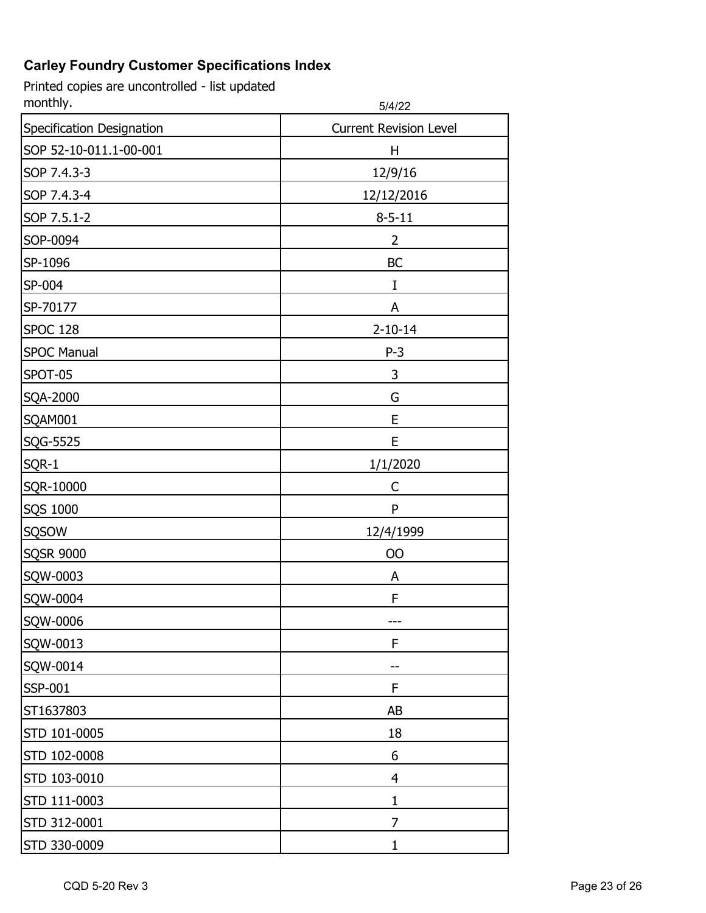Printed copies are uncontrolled - list updated<br>monthly. monthly. 5/4/22

|                           | ے ا+ال                        |
|---------------------------|-------------------------------|
| Specification Designation | <b>Current Revision Level</b> |
| SOP 52-10-011.1-00-001    | H                             |
| SOP 7.4.3-3               | 12/9/16                       |
| SOP 7.4.3-4               | 12/12/2016                    |
| SOP 7.5.1-2               | $8 - 5 - 11$                  |
| SOP-0094                  | 2                             |
| SP-1096                   | <b>BC</b>                     |
| SP-004                    | I                             |
| SP-70177                  | A                             |
| <b>SPOC 128</b>           | $2 - 10 - 14$                 |
| <b>SPOC Manual</b>        | $P-3$                         |
| SPOT-05                   | 3                             |
| SQA-2000                  | G                             |
| SQAM001                   | E                             |
| SQG-5525                  | E                             |
| SQR-1                     | 1/1/2020                      |
| SQR-10000                 | C                             |
| SQS 1000                  | ${\sf P}$                     |
| <b>SQSOW</b>              | 12/4/1999                     |
| <b>SQSR 9000</b>          | 00                            |
| SQW-0003                  | A                             |
| SQW-0004                  | F                             |
| SQW-0006                  | ---                           |
| SQW-0013                  | F                             |
| SQW-0014                  |                               |
| SSP-001                   | F                             |
| ST1637803                 | AB                            |
| STD 101-0005              | 18                            |
| STD 102-0008              | 6                             |
| STD 103-0010              | 4                             |
| STD 111-0003              | $\mathbf 1$                   |
| STD 312-0001              | 7                             |
| STD 330-0009              | $\mathbf{1}$                  |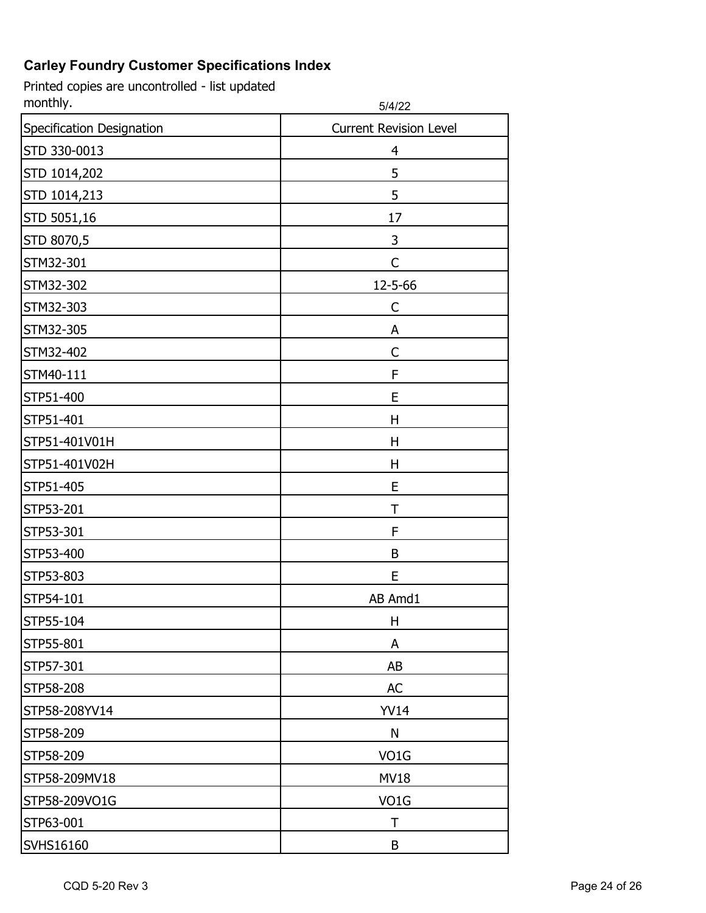| monthly.                  | 5/4/22                        |
|---------------------------|-------------------------------|
| Specification Designation | <b>Current Revision Level</b> |
| STD 330-0013              | 4                             |
| STD 1014,202              | 5                             |
| STD 1014,213              | 5                             |
| STD 5051,16               | 17                            |
| STD 8070,5                | 3                             |
| STM32-301                 | C                             |
| STM32-302                 | 12-5-66                       |
| STM32-303                 | C                             |
| STM32-305                 | A                             |
| STM32-402                 | C                             |
| STM40-111                 | F                             |
| STP51-400                 | E                             |
| STP51-401                 | H                             |
| STP51-401V01H             | н                             |
| STP51-401V02H             | Н                             |
| STP51-405                 | E                             |
| STP53-201                 | Т                             |
| STP53-301                 | F                             |
| STP53-400                 | B                             |
| STP53-803                 | E                             |
| STP54-101                 | AB Amd1                       |
| STP55-104                 | Н                             |
| STP55-801                 | A                             |
| STP57-301                 | AB                            |
| STP58-208                 | <b>AC</b>                     |
| STP58-208YV14             | <b>YV14</b>                   |
| STP58-209                 | N                             |
| STP58-209                 | VO1G                          |
| STP58-209MV18             | <b>MV18</b>                   |
| STP58-209VO1G             | VO <sub>1</sub> G             |
| STP63-001                 | т                             |
| SVHS16160                 | B                             |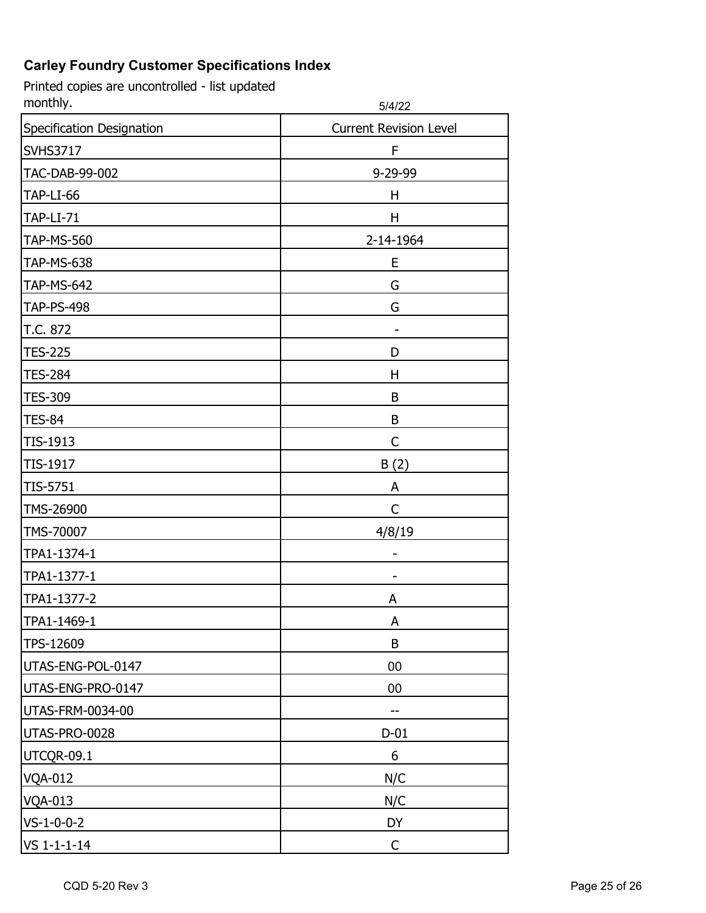| monthly.                  | 5/4/22                        |
|---------------------------|-------------------------------|
| Specification Designation | <b>Current Revision Level</b> |
| <b>SVHS3717</b>           | F                             |
| TAC-DAB-99-002            | 9-29-99                       |
| TAP-LI-66                 | H                             |
| <b>TAP-LI-71</b>          | Η                             |
| <b>TAP-MS-560</b>         | 2-14-1964                     |
| <b>TAP-MS-638</b>         | Ε                             |
| <b>TAP-MS-642</b>         | G                             |
| <b>TAP-PS-498</b>         | G                             |
| T.C. 872                  |                               |
| <b>TES-225</b>            | D                             |
| <b>TES-284</b>            | Η                             |
| <b>TES-309</b>            | B                             |
| <b>TES-84</b>             | B                             |
| TIS-1913                  | C                             |
| TIS-1917                  | B(2)                          |
| TIS-5751                  | A                             |
| TMS-26900                 | C                             |
| TMS-70007                 | 4/8/19                        |
| TPA1-1374-1               |                               |
| TPA1-1377-1               |                               |
| TPA1-1377-2               | A                             |
| TPA1-1469-1               | A                             |
| TPS-12609                 | B                             |
| UTAS-ENG-POL-0147         | 00                            |
| UTAS-ENG-PRO-0147         | 00                            |
| <b>UTAS-FRM-0034-00</b>   |                               |
| UTAS-PRO-0028             | $D-01$                        |
| UTCQR-09.1                | 6                             |
| <b>VQA-012</b>            | N/C                           |
| <b>VQA-013</b>            | N/C                           |
| $VS - 1 - 0 - 0 - 2$      | DY                            |
| $VS$ 1-1-1-14             | $\mathsf{C}$                  |